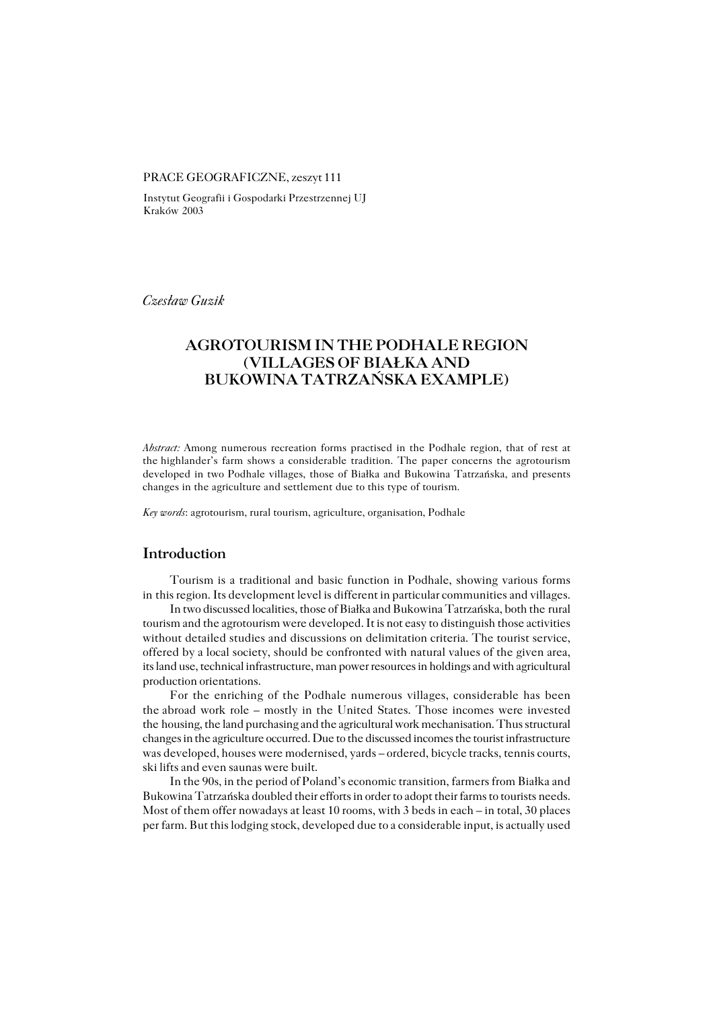### PRACE GEOGRAFICZNE, zeszyt 111

Instytut Geografii i Gospodarki Przestrzennej UJ Kraków 2003

*Czesław Guzik*

# **AGROTOURISM IN THE PODHALE REGION (VILLAGES OF BIAŁKA AND BUKOWINA TATRZAŃSKA EXAMPLE)**

*Abstract:* Among numerous recreation forms practised in the Podhale region, that of rest at the highlander's farm shows a considerable tradition. The paper concerns the agrotourism developed in two Podhale villages, those of Białka and Bukowina Tatrzańska, and presents changes in the agriculture and settlement due to this type of tourism.

*Key words*: agrotourism, rural tourism, agriculture, organisation, Podhale

## **Introduction**

Tourism is a traditional and basic function in Podhale, showing various forms in this region. Its development level is different in particular communities and villages.

In two discussed localities, those of Białka and Bukowina Tatrzańska, both the rural tourism and the agrotourism were developed. It is not easy to distinguish those activities without detailed studies and discussions on delimitation criteria. The tourist service, offered by a local society, should be confronted with natural values of the given area, its land use, technical infrastructure, man power resources in holdings and with agricultural production orientations.

For the enriching of the Podhale numerous villages, considerable has been the abroad work role – mostly in the United States. Those incomes were invested the housing, the land purchasing and the agricultural work mechanisation. Thus structural changes in the agriculture occurred. Due to the discussed incomes the tourist infrastructure was developed, houses were modernised, yards – ordered, bicycle tracks, tennis courts, ski lifts and even saunas were built.

In the 90s, in the period of Poland's economic transition, farmers from Białka and Bukowina Tatrzańska doubled their efforts in order to adopt their farms to tourists needs. Most of them offer nowadays at least 10 rooms, with 3 beds in each – in total, 30 places per farm. But this lodging stock, developed due to a considerable input, is actually used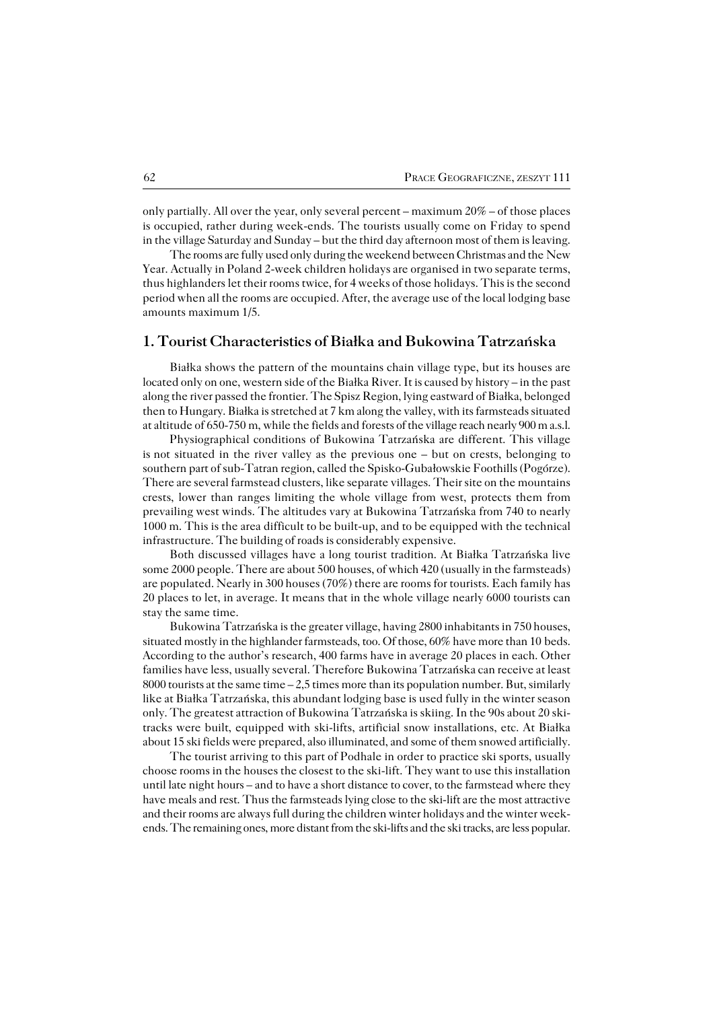only partially. All over the year, only several percent – maximum 20% – of those places is occupied, rather during week−ends. The tourists usually come on Friday to spend in the village Saturday and Sunday – but the third day afternoon most of them is leaving.

The rooms are fully used only during the weekend between Christmas and the New Year. Actually in Poland 2−week children holidays are organised in two separate terms, thus highlanders let their rooms twice, for 4 weeks of those holidays. This is the second period when all the rooms are occupied. After, the average use of the local lodging base amounts maximum 1/5.

## **1. Tourist Characteristics of Białka and Bukowina Tatrzańska**

Białka shows the pattern of the mountains chain village type, but its houses are located only on one, western side of the Białka River. It is caused by history – in the past along the river passed the frontier. The Spisz Region, lying eastward of Białka, belonged then to Hungary. Białka is stretched at 7 km along the valley, with its farmsteads situated at altitude of 650−750 m, while the fields and forests of the village reach nearly 900 m a.s.l.

Physiographical conditions of Bukowina Tatrzańska are different. This village isnot situated in the river valley as the previous one – but on crests, belonging to southern part of sub−Tatran region, called the Spisko−Gubałowskie Foothills (Pogórze). There are several farmstead clusters, like separate villages. Their site on the mountains crests, lower than ranges limiting the whole village from west, protects them from prevailing west winds. The altitudes vary at Bukowina Tatrzańska from 740 to nearly 1000 m. This is the area difficult to be built−up, and to be equipped with the technical infrastructure. The building of roads is considerably expensive.

Both discussed villages have a long tourist tradition. At Białka Tatrzańska live some 2000 people. There are about 500 houses, of which 420 (usually in the farmsteads) are populated. Nearly in 300 houses (70%) there are rooms for tourists. Each family has 20 places to let, in average. It means that in the whole village nearly 6000 tourists can stay the same time.

Bukowina Tatrzańska is the greater village, having 2800 inhabitants in 750 houses, situated mostly in the highlander farmsteads, too. Of those, 60% have more than 10 beds. According to the author's research, 400 farms have in average 20 places in each. Other families have less, usually several. Therefore Bukowina Tatrzańska can receive at least 8000 tourists at the same time  $-2,5$  times more than its population number. But, similarly like at Białka Tatrzańska, this abundant lodging base is used fully in the winter season only. The greatest attraction of Bukowina Tatrzańska is skiing. In the 90s about 20 ski− tracks were built, equipped with ski−lifts, artificial snow installations, etc. At Białka about 15 ski fields were prepared, also illuminated, and some of them snowed artificially.

The tourist arriving to this part of Podhale in order to practice ski sports, usually choose rooms in the houses the closest to the ski−lift. They want to use this installation until late night hours – and to have a short distance to cover, to the farmstead where they have meals and rest. Thus the farmsteads lying close to the ski−lift are the most attractive and their rooms are always full during the children winter holidays and the winter week− ends. The remaining ones, more distant from the ski−lifts and the ski tracks, are less popular.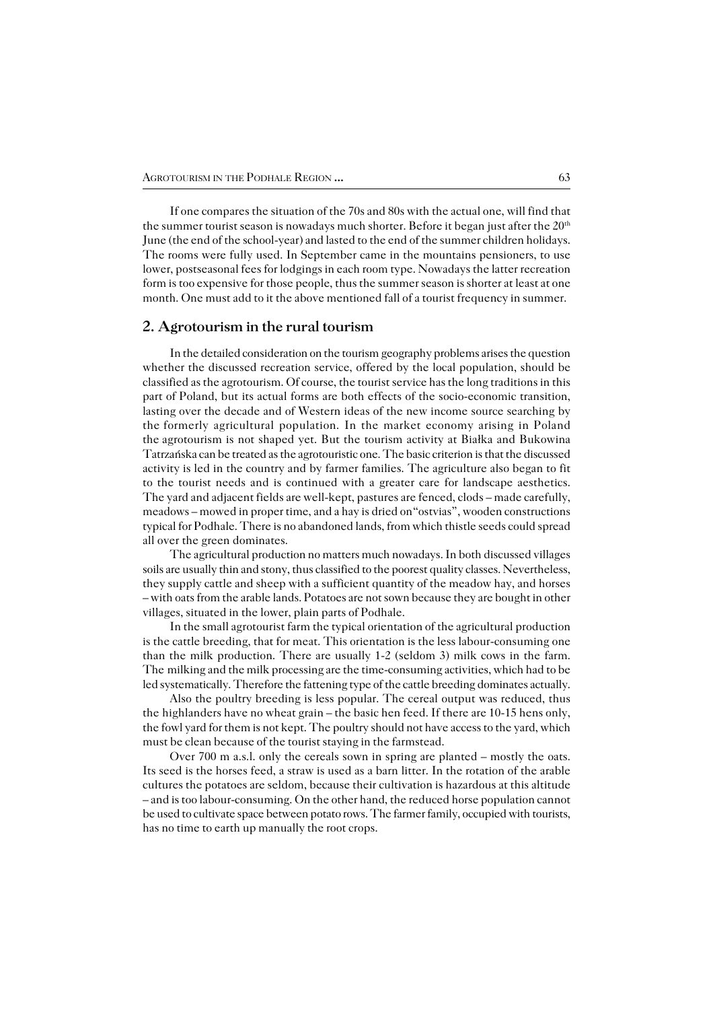If one compares the situation of the 70s and 80s with the actual one, will find that the summer tourist season is nowadays much shorter. Before it began just after the 20<sup>th</sup> June (the end of the school−year) and lasted to the end of the summer children holidays. The rooms were fully used. In September came in the mountains pensioners, to use lower, postseasonal fees for lodgings in each room type. Nowadays the latter recreation form is too expensive for those people, thus the summer season is shorter at least at one month. One must add to it the above mentioned fall of a tourist frequency in summer.

### **2. Agrotourism in the rural tourism**

In the detailed consideration on the tourism geography problems arises the question whether the discussed recreation service, offered by the local population, should be classified as the agrotourism. Of course, the tourist service has the long traditions in this part of Poland, but its actual forms are both effects of the socio−economic transition, lasting over the decade and of Western ideas of the new income source searching by the formerly agricultural population. In the market economy arising in Poland the agrotourism is not shaped yet. But the tourism activity at Białka and Bukowina Tatrzańska can be treated as the agrotouristic one. The basic criterion is that the discussed activity is led in the country and by farmer families. The agriculture also began to fit to the tourist needs and is continued with a greater care for landscape aesthetics. The yard and adjacent fields are well−kept, pastures are fenced, clods – made carefully, meadows – mowed in proper time, and a hay is dried on"ostvias", wooden constructions typical for Podhale. There is no abandoned lands, from which thistle seeds could spread all over the green dominates.

The agricultural production no matters much nowadays. In both discussed villages soils are usually thin and stony, thus classified to the poorest quality classes. Nevertheless, they supply cattle and sheep with a sufficient quantity of the meadow hay, and horses – with oats from the arable lands. Potatoes are not sown because they are bought in other villages, situated in the lower, plain parts of Podhale.

In the small agrotourist farm the typical orientation of the agricultural production is the cattle breeding, that for meat. This orientation is the less labour−consuming one than the milk production. There are usually 1−2 (seldom 3) milk cows in the farm. The milking and the milk processing are the time-consuming activities, which had to be led systematically. Therefore the fattening type of the cattle breeding dominates actually.

Also the poultry breeding is less popular. The cereal output was reduced, thus the highlanders have no wheat grain – the basic hen feed. If there are 10−15 hens only, the fowl yard for them is not kept. The poultry should not have access to the yard, which must be clean because of the tourist staying in the farmstead.

Over 700 m a.s.l. only the cereals sown in spring are planted – mostly the oats. Itsseed is the horses feed, a straw is used as a barn litter. In the rotation of the arable cultures the potatoes are seldom, because their cultivation is hazardous at this altitude – and is too labour−consuming. On the other hand, the reduced horse population cannot be used to cultivate space between potato rows. The farmer family, occupied with tourists, has no time to earth up manually the root crops.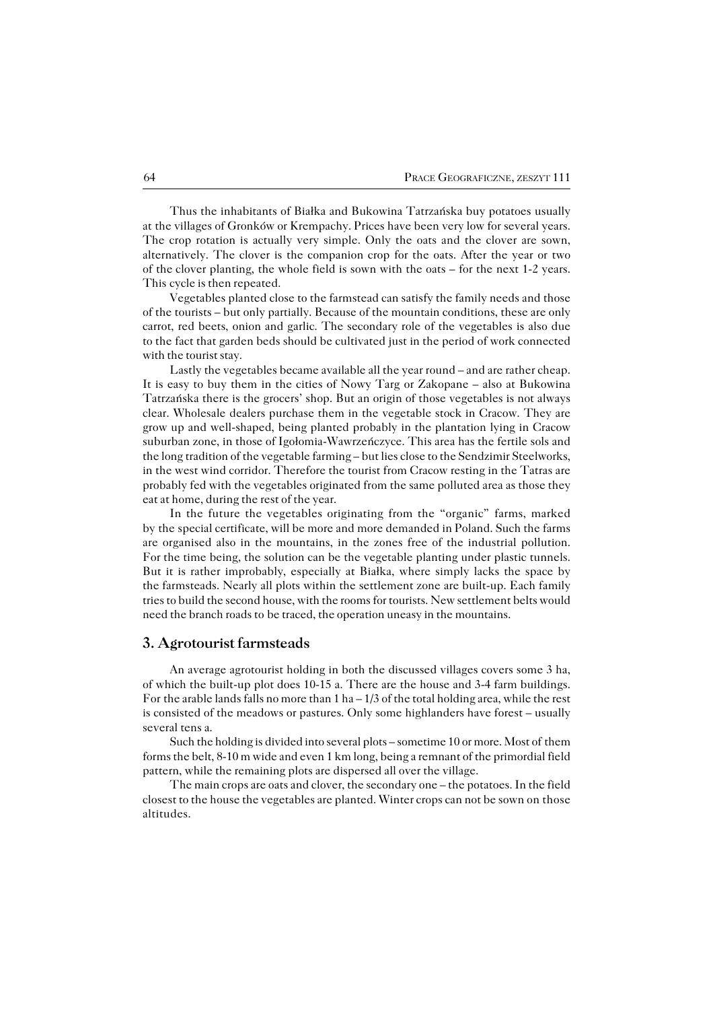Thus the inhabitants of Białka and Bukowina Tatrzańska buy potatoes usually atthe villages of Gronków or Krempachy. Prices have been very low for several years. The crop rotation is actually very simple. Only the oats and the clover are sown, alternatively. The clover is the companion crop for the oats. After the year or two of the clover planting, the whole field is sown with the oats – for the next 1-2 years. This cycle is then repeated.

Vegetables planted close to the farmstead can satisfy the family needs and those of the tourists – but only partially. Because of the mountain conditions, these are only carrot, red beets, onion and garlic. The secondary role of the vegetables is also due to the fact that garden beds should be cultivated just in the period of work connected with the tourist stay.

Lastly the vegetables became available all the year round – and are rather cheap. It is easy to buy them in the cities of Nowy Targ or Zakopane – also at Bukowina Tatrzańska there is the grocers' shop. But an origin of those vegetables is not always clear. Wholesale dealers purchase them in the vegetable stock in Cracow. They are grow up and well−shaped, being planted probably in the plantation lying in Cracow suburban zone, in those of Igołomia−Wawrzeńczyce. This area has the fertile sols and the long tradition of the vegetable farming – but lies close to the Sendzimir Steelworks, in the west wind corridor. Therefore the tourist from Cracow resting in the Tatras are probably fed with the vegetables originated from the same polluted area as those they eat at home, during the rest of the year.

In the future the vegetables originating from the "organic" farms, marked bythespecial certificate, will be more and more demanded in Poland. Such the farms are organised also in the mountains, in the zones free of the industrial pollution. For the time being, the solution can be the vegetable planting under plastic tunnels. But it is rather improbably, especially at Białka, where simply lacks the space by the farmsteads. Nearly all plots within the settlement zone are built-up. Each family tries to build the second house, with the rooms for tourists. New settlement belts would need the branch roads to be traced, the operation uneasy in the mountains.

### **3. Agrotourist farmsteads**

An average agrotourist holding in both the discussed villages covers some 3 ha, of which the built−up plot does 10−15 a. There are the house and 3−4 farm buildings. For the arable lands falls no more than  $1 \text{ ha} - 1/3$  of the total holding area, while the rest is consisted of the meadows or pastures. Only some highlanders have forest – usually several tens a.

Such the holding is divided into several plots – sometime 10 or more. Most of them forms the belt, 8−10 m wide and even 1 km long, being a remnant of the primordial field pattern, while the remaining plots are dispersed all over the village.

The main crops are oats and clover, the secondary one – the potatoes. In the field closest to the house the vegetables are planted. Winter crops can not be sown on those altitudes.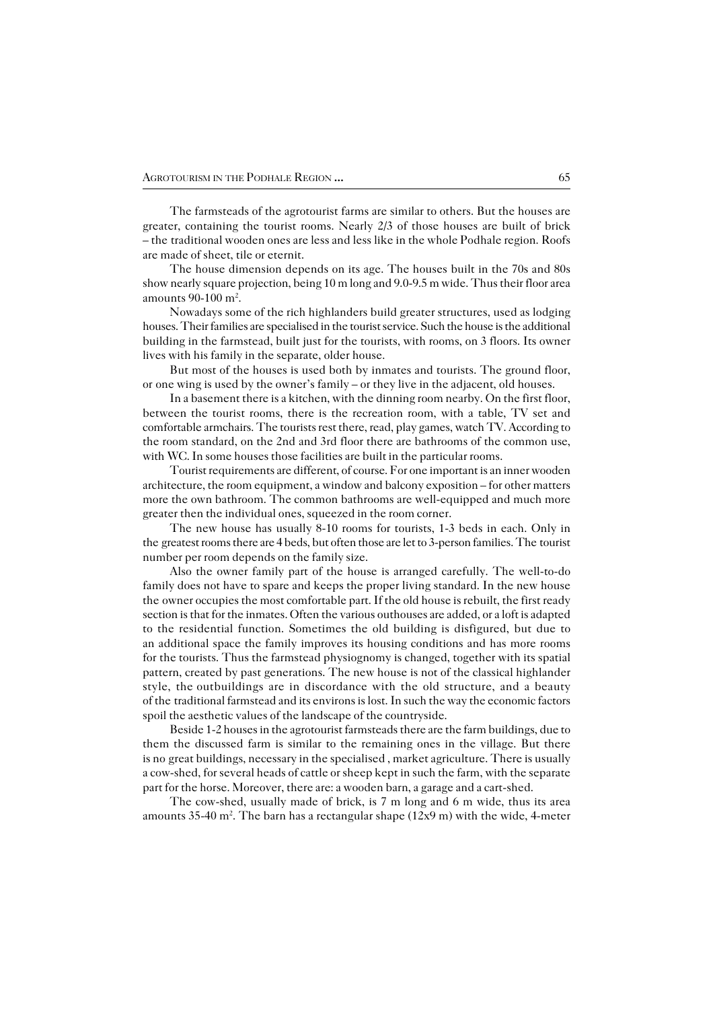The farmsteads of the agrotourist farms are similar to others. But the houses are greater, containing the tourist rooms. Nearly 2/3 of those houses are built of brick – the traditional wooden ones are less and less like in the whole Podhale region. Roofs are made of sheet, tile or eternit.

The house dimension depends on its age. The houses built in the 70s and 80s show nearly square projection, being 10 m long and 9.0−9.5 m wide. Thus their floor area amounts 90-100 m<sup>2</sup>.

Nowadays some of the rich highlanders build greater structures, used as lodging houses. Their families are specialised in the tourist service. Such the house is the additional building in the farmstead, built just for the tourists, with rooms, on 3 floors. Its owner lives with his family in the separate, older house.

But most of the houses is used both by inmates and tourists. The ground floor, or one wing is used by the owner's family – or they live in the adjacent, old houses.

In a basement there is a kitchen, with the dinning room nearby. On the first floor, between the tourist rooms, there is the recreation room, with a table, TV set and comfortable armchairs. The tourists rest there, read, play games, watch TV. According to the room standard, on the 2nd and 3rd floor there are bathrooms of the common use, with WC. In some houses those facilities are built in the particular rooms.

Tourist requirements are different, of course. For one important is an inner wooden architecture, the room equipment, a window and balcony exposition – for other matters more the own bathroom. The common bathrooms are well−equipped and much more greater then the individual ones, squeezed in the room corner.

The new house has usually 8−10 rooms for tourists, 1−3 beds in each. Only in the greatest rooms there are 4 beds, but often those are let to 3-person families. The tourist number per room depends on the family size.

Also the owner family part of the house is arranged carefully. The well−to−do family does not have to spare and keeps the proper living standard. In the new house the owner occupies the most comfortable part. If the old house is rebuilt, the first ready section is that for the inmates. Often the various outhouses are added, or a loft is adapted to the residential function. Sometimes the old building is disfigured, but due to an additional space the family improves its housing conditions and has more rooms for the tourists. Thus the farmstead physiognomy is changed, together with its spatial pattern, created by past generations. The new house is not of the classical highlander style, the outbuildings are in discordance with the old structure, and a beauty of the traditional farmstead and its environs is lost. In such the way the economic factors spoil the aesthetic values of the landscape of the countryside.

Beside 1−2 houses in the agrotourist farmsteads there are the farm buildings, due to them the discussed farm is similar to the remaining ones in the village. But there is nogreat buildings, necessary in the specialised , market agriculture. There is usually a cow−shed, for several heads of cattle or sheep kept in such the farm, with the separate part for the horse. Moreover, there are: a wooden barn, a garage and a cart−shed.

The cow−shed, usually made of brick, is 7 m long and 6 m wide, thus its area amounts 35−40 m<sup>2</sup> . The barn has a rectangular shape (12x9 m) with the wide, 4−meter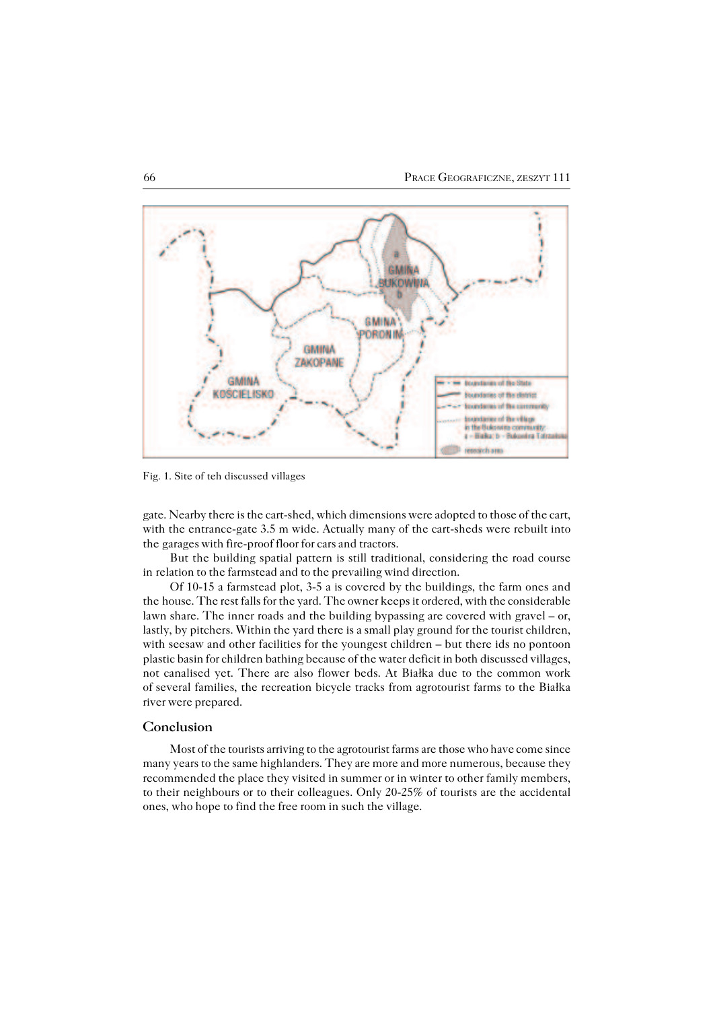

Fig. 1. Site of teh discussed villages

gate. Nearby there is the cart−shed, which dimensions were adopted to those of the cart, with the entrance−gate 3.5 m wide. Actually many of the cart−sheds were rebuilt into the garages with fire-proof floor for cars and tractors.

But the building spatial pattern is still traditional, considering the road course in relation to the farmstead and to the prevailing wind direction.

Of 10−15 a farmstead plot, 3−5 a is covered by the buildings, the farm ones and the house. The rest falls for the yard. The owner keeps it ordered, with the considerable lawn share. The inner roads and the building bypassing are covered with gravel – or, lastly, by pitchers. Within the yard there is a small play ground for the tourist children, with seesaw and other facilities for the youngest children – but there ids no pontoon plastic basin for children bathing because of the water deficit in both discussed villages, not canalised yet. There are also flower beds. At Białka due to the common work of several families, the recreation bicycle tracks from agrotourist farms to the Białka river were prepared.

#### **Conclusion**

Most of the tourists arriving to the agrotourist farms are those who have come since many years to the same highlanders. They are more and more numerous, because they recommended the place they visited in summer or in winter to other family members, totheir neighbours or to their colleagues. Only 20−25% of tourists are the accidental ones, who hope to find the free room in such the village.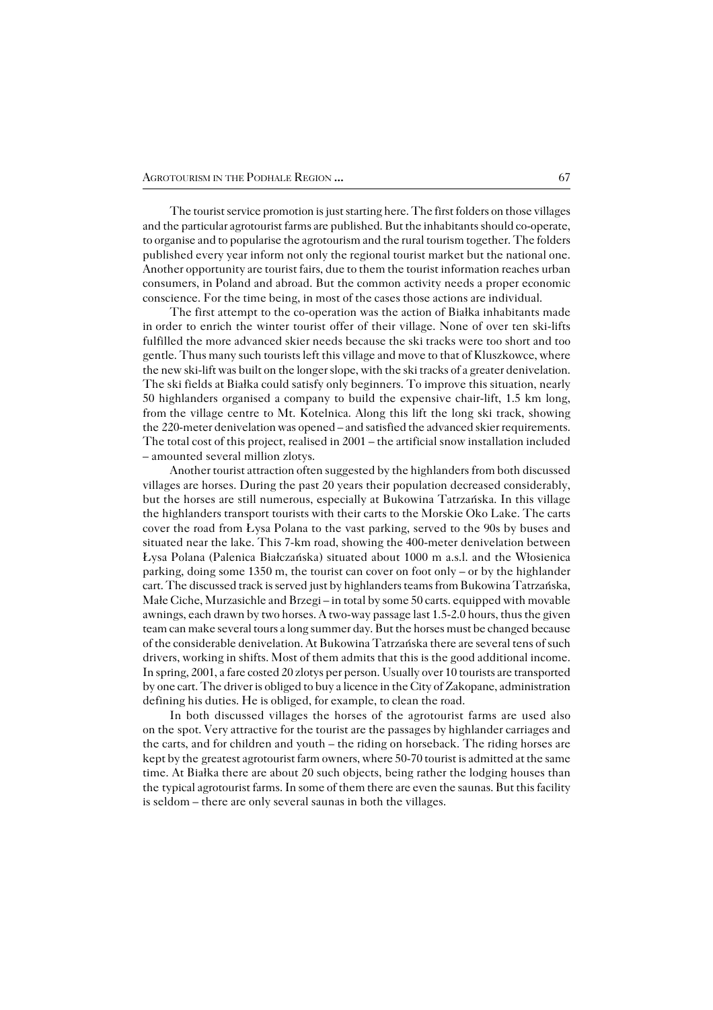The tourist service promotion is just starting here. The first folders on those villages and the particular agrotourist farms are published. But the inhabitants should co−operate, to organise and to popularise the agrotourism and the rural tourism together. The folders published every year inform not only the regional tourist market but the national one. Another opportunity are tourist fairs, due to them the tourist information reaches urban consumers, in Poland and abroad. But the common activity needs a proper economic conscience. For the time being, in most of the cases those actions are individual.

The first attempt to the co−operation was the action of Białka inhabitants made inorder to enrich the winter tourist offer of their village. None of over ten ski−lifts fulfilled the more advanced skier needs because the ski tracks were too short and too gentle. Thus many such tourists left this village and move to that of Kluszkowce, where the new ski−lift was built on the longer slope, with the ski tracks of a greater denivelation. The ski fields at Białka could satisfy only beginners. To improve this situation, nearly 50 highlanders organised a company to build the expensive chair−lift, 1.5 km long, fromthe village centre to Mt. Kotelnica. Along this lift the long ski track, showing the220−meter denivelation was opened – and satisfied the advanced skier requirements. The total cost of this project, realised in 2001 – the artificial snow installation included – amounted several million zlotys.

Another tourist attraction often suggested by the highlanders from both discussed villages are horses. During the past 20 years their population decreased considerably, but the horses are still numerous, especially at Bukowina Tatrzańska. In this village the highlanders transport tourists with their carts to the Morskie Oko Lake. The carts cover the road from Łysa Polana to the vast parking, served to the 90s by buses and situated near the lake. This 7−km road, showing the 400−meter denivelation between Łysa Polana (Palenica Białczańska) situated about 1000 m a.s.l. and the Włosienica parking, doing some 1350 m, the tourist can cover on foot only – or by the highlander cart. The discussed track is served just by highlanders teams from Bukowina Tatrzańska, Małe Ciche, Murzasichle and Brzegi – in total by some 50 carts. equipped with movable awnings, each drawn by two horses. A two−way passage last 1.5−2.0 hours, thus the given team can make several tours a long summer day. But the horses must be changed because of the considerable denivelation. At Bukowina Tatrzańska there are several tens of such drivers, working in shifts. Most of them admits that this is the good additional income. In spring, 2001, a fare costed 20 zlotys per person. Usually over 10 tourists are transported by one cart. The driver is obliged to buy a licence in the City of Zakopane, administration defining his duties. He is obliged, for example, to clean the road.

In both discussed villages the horses of the agrotourist farms are used also on thespot. Very attractive for the tourist are the passages by highlander carriages and the carts, and for children and youth – the riding on horseback. The riding horses are kept by the greatest agrotourist farm owners, where 50-70 tourist is admitted at the same time. At Białka there are about 20 such objects, being rather the lodging houses than the typical agrotourist farms. In some of them there are even the saunas. But this facility is seldom – there are only several saunas in both the villages.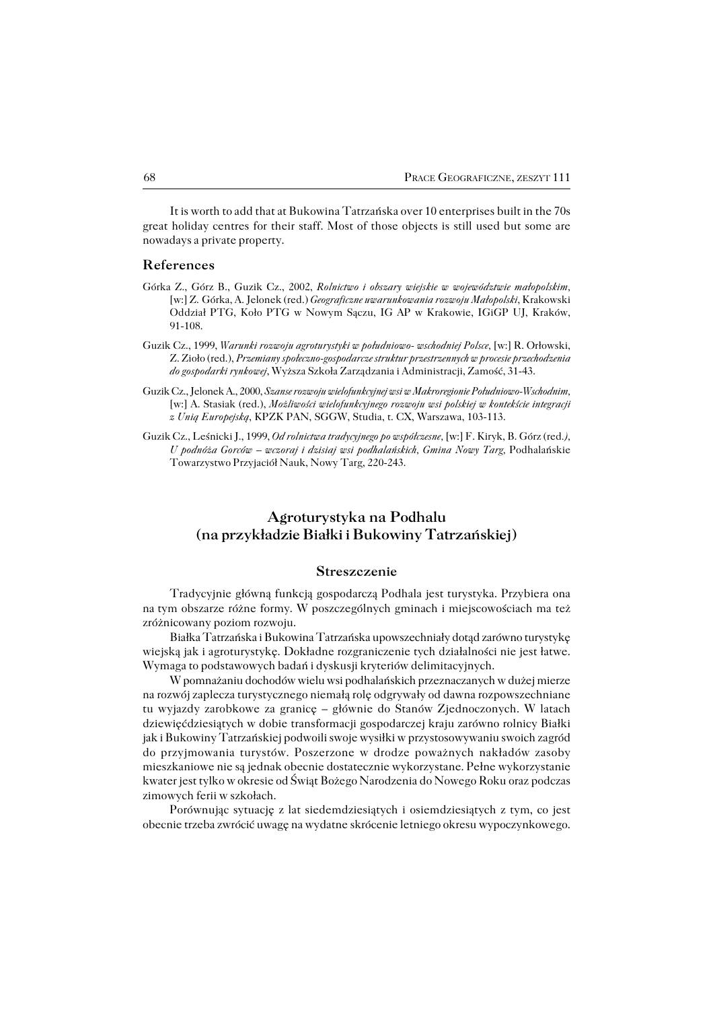It is worth to add that at Bukowina Tatrzańska over 10 enterprises built in the 70s great holiday centres for their staff. Most of those objects is still used but some are nowadays a private property.

#### **References**

- Górka Z., Górz B., Guzik Cz., 2002, *Rolnictwo i obszary wiejskie w województwie małopolskim,* [w:] Z.Górka, A. Jelonek (red.) *Geograficzne uwarunkowania rozwoju Małopolski*, Krakowski Oddział PTG, Koło PTG w Nowym Sączu, IG AP w Krakowie, IGiGP UJ, Kraków, 91−108.
- Guzik Cz., 1999, *Warunki rozwoju agroturystyki w południowo− wschodniej Polsce,* [w:] R. Orłowski, Z. Zioło (red.), *Przemiany społeczno−gospodarcze struktur przestrzennych w procesie przechodzenia do gospodarki rynkowej*, Wyższa Szkoła Zarządzania i Administracji, Zamość, 31−43.
- Guzik Cz., Jelonek A., 2000, *Szanse rozwoju wielofunkcyjnej wsi w Makroregionie Południowo−Wschodnim,* [w:] A. Stasiak (red.), *Możliwości wielofunkcyjnego rozwoju wsi polskiej w kontekście integracji z Unią Europejską*, KPZK PAN, SGGW, Studia, t. CX, Warszawa, 103−113.
- Guzik Cz., Leśnicki J., 1999, *Od rolnictwa tradycyjnego po współczesne,* [w:] F. Kiryk, B. Górz (red*.), U podnóża Gorców – wczoraj i dzisiaj wsi podhalańskich, Gmina Nowy Targ,* Podhalańskie Towarzystwo Przyjaciół Nauk, Nowy Targ, 220−243.

## **Agroturystyka na Podhalu (na przykładzie Białki i Bukowiny Tatrzańskiej)**

#### **Streszczenie**

Tradycyjnie główną funkcją gospodarczą Podhala jest turystyka. Przybiera ona natym obszarze różne formy. W poszczególnych gminach i miejscowościach ma też zróżnicowany poziom rozwoju.

Białka Tatrzańska i Bukowina Tatrzańska upowszechniały dotąd zarówno turystykę wiejską jak i agroturystykę. Dokładne rozgraniczenie tych działalności nie jest łatwe. Wymaga to podstawowych badań i dyskusji kryteriów delimitacyjnych.

W pomnażaniu dochodów wielu wsi podhalańskich przeznaczanych w dużej mierze na rozwój zaplecza turystycznego niemałą rolę odgrywały od dawna rozpowszechniane tu wyjazdy zarobkowe za granicę – głównie do Stanów Zjednoczonych. W latach dziewięćdziesiątych w dobie transformacji gospodarczej kraju zarówno rolnicy Białki jak i Bukowiny Tatrzańskiej podwoili swoje wysiłki w przystosowywaniu swoich zagród do przyjmowania turystów. Poszerzone w drodze poważnych nakładów zasoby mieszkaniowe nie są jednak obecnie dostatecznie wykorzystane. Pełne wykorzystanie kwater jest tylko w okresie od Świąt Bożego Narodzenia do Nowego Roku oraz podczas zimowych ferii w szkołach.

Porównując sytuację z lat siedemdziesiątych i osiemdziesiątych z tym, co jest obecnie trzeba zwrócić uwagę na wydatne skrócenie letniego okresu wypoczynkowego.